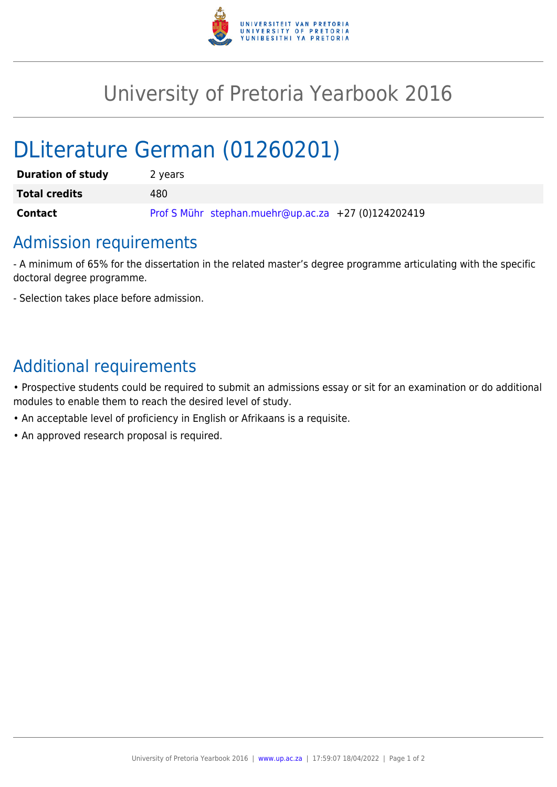

## University of Pretoria Yearbook 2016

# DLiterature German (01260201)

| <b>Duration of study</b> | 2 years                                             |
|--------------------------|-----------------------------------------------------|
| <b>Total credits</b>     | 480                                                 |
| <b>Contact</b>           | Prof S Mühr stephan.muehr@up.ac.za +27 (0)124202419 |

### Admission requirements

- A minimum of 65% for the dissertation in the related master's degree programme articulating with the specific doctoral degree programme.

- Selection takes place before admission.

### Additional requirements

• Prospective students could be required to submit an admissions essay or sit for an examination or do additional modules to enable them to reach the desired level of study.

- An acceptable level of proficiency in English or Afrikaans is a requisite.
- An approved research proposal is required.